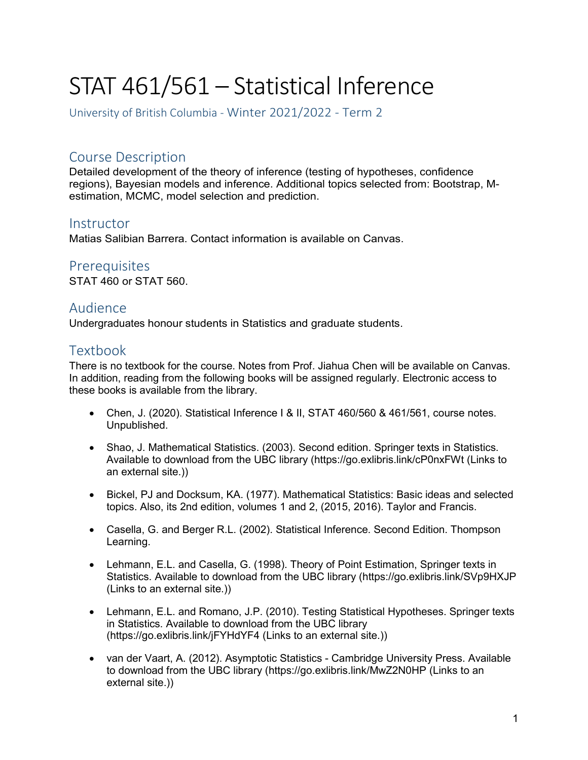# STAT 461/561 – Statistical Inference

University of British Columbia - Winter 2021/2022 - Term 2

# Course Description

Detailed development of the theory of inference (testing of hypotheses, confidence regions), Bayesian models and inference. Additional topics selected from: Bootstrap, Mestimation, MCMC, model selection and prediction.

#### **Instructor**

Matias Salibian Barrera. Contact information is available on Canvas.

### Prerequisites

STAT 460 or STAT 560.

### Audience

Undergraduates honour students in Statistics and graduate students.

### Textbook

There is no textbook for the course. Notes from Prof. Jiahua Chen will be available on Canvas. In addition, reading from the following books will be assigned regularly. Electronic access to these books is available from the library.

- Chen, J. (2020). Statistical Inference I & II, STAT 460/560 & 461/561, course notes. Unpublished.
- Shao, J. Mathematical Statistics. (2003). Second edition. Springer texts in Statistics. Available to download from the UBC library (https://go.exlibris.link/cP0nxFWt (Links to an external site.))
- Bickel, PJ and Docksum, KA. (1977). Mathematical Statistics: Basic ideas and selected topics. Also, its 2nd edition, volumes 1 and 2, (2015, 2016). Taylor and Francis.
- Casella, G. and Berger R.L. (2002). Statistical Inference. Second Edition. Thompson Learning.
- Lehmann, E.L. and Casella, G. (1998). Theory of Point Estimation, Springer texts in Statistics. Available to download from the UBC library (https://go.exlibris.link/SVp9HXJP (Links to an external site.))
- Lehmann, E.L. and Romano, J.P. (2010). Testing Statistical Hypotheses. Springer texts in Statistics. Available to download from the UBC library (https://go.exlibris.link/jFYHdYF4 (Links to an external site.))
- van der Vaart, A. (2012). Asymptotic Statistics Cambridge University Press. Available to download from the UBC library (https://go.exlibris.link/MwZ2N0HP (Links to an external site.))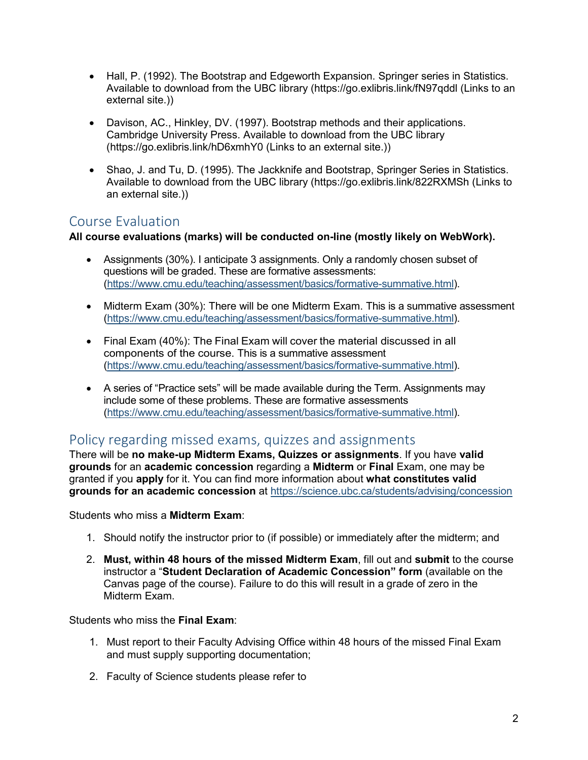- Hall, P. (1992). The Bootstrap and Edgeworth Expansion. Springer series in Statistics. Available to download from the UBC library (https://go.exlibris.link/fN97qddl (Links to an external site.))
- Davison, AC., Hinkley, DV. (1997). Bootstrap methods and their applications. Cambridge University Press. Available to download from the UBC library (https://go.exlibris.link/hD6xmhY0 (Links to an external site.))
- Shao, J. and Tu, D. (1995). The Jackknife and Bootstrap, Springer Series in Statistics. Available to download from the UBC library (https://go.exlibris.link/822RXMSh (Links to an external site.))

# Course Evaluation

#### **All course evaluations (marks) will be conducted on-line (mostly likely on WebWork).**

- Assignments (30%). I anticipate 3 assignments. Only a randomly chosen subset of questions will be graded. These are formative assessments: [\(https://www.cmu.edu/teaching/assessment/basics/formative-summative.html\)](https://www.cmu.edu/teaching/assessment/basics/formative-summative.html).
- Midterm Exam (30%): There will be one Midterm Exam. This is a summative assessment [\(https://www.cmu.edu/teaching/assessment/basics/formative-summative.html\)](https://www.cmu.edu/teaching/assessment/basics/formative-summative.html).
- Final Exam (40%): The Final Exam will cover the material discussed in all components of the course. This is a summative assessment [\(https://www.cmu.edu/teaching/assessment/basics/formative-summative.html\)](https://www.cmu.edu/teaching/assessment/basics/formative-summative.html).
- A series of "Practice sets" will be made available during the Term. Assignments may include some of these problems. These are formative assessments [\(https://www.cmu.edu/teaching/assessment/basics/formative-summative.html\)](https://www.cmu.edu/teaching/assessment/basics/formative-summative.html).

# Policy regarding missed exams, quizzes and assignments

There will be **no make-up Midterm Exams, Quizzes or assignments**. If you have **valid grounds** for an **academic concession** regarding a **Midterm** or **Final** Exam, one may be granted if you **apply** for it. You can find more information about **what constitutes valid grounds for an academic concession** at<https://science.ubc.ca/students/advising/concession>

Students who miss a **Midterm Exam**:

- 1. Should notify the instructor prior to (if possible) or immediately after the midterm; and
- 2. **Must, within 48 hours of the missed Midterm Exam**, fill out and **submit** to the course instructor a "**Student Declaration of Academic Concession" form** (available on the Canvas page of the course). Failure to do this will result in a grade of zero in the Midterm Exam.

Students who miss the **Final Exam**:

- 1. Must report to their Faculty Advising Office within 48 hours of the missed Final Exam and must supply supporting documentation;
- 2. Faculty of Science students please refer to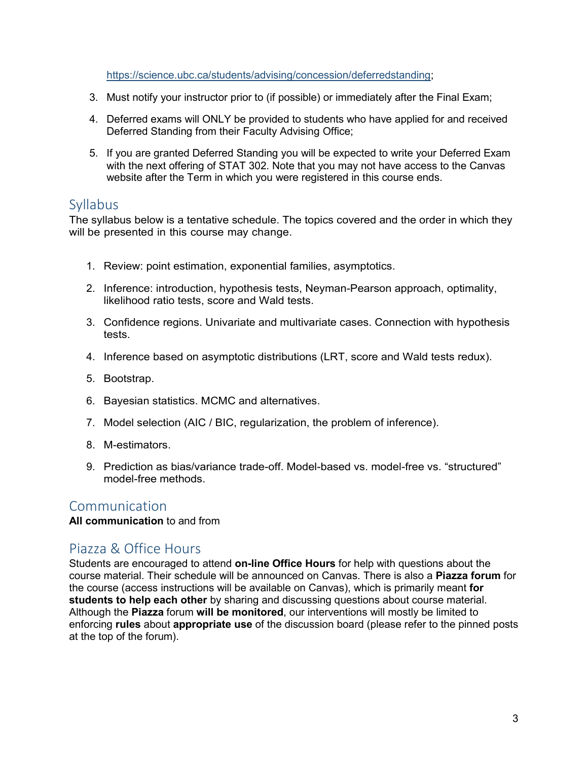[https://science.ubc.ca/students/advising/concession/deferredstanding;](https://science.ubc.ca/students/advising/concession/deferredstanding)

- 3. Must notify your instructor prior to (if possible) or immediately after the Final Exam;
- 4. Deferred exams will ONLY be provided to students who have applied for and received Deferred Standing from their Faculty Advising Office;
- 5. If you are granted Deferred Standing you will be expected to write your Deferred Exam with the next offering of STAT 302. Note that you may not have access to the Canvas website after the Term in which you were registered in this course ends.

## **Syllabus**

The syllabus below is a tentative schedule. The topics covered and the order in which they will be presented in this course may change.

- 1. Review: point estimation, exponential families, asymptotics.
- 2. Inference: introduction, hypothesis tests, Neyman-Pearson approach, optimality, likelihood ratio tests, score and Wald tests.
- 3. Confidence regions. Univariate and multivariate cases. Connection with hypothesis tests.
- 4. Inference based on asymptotic distributions (LRT, score and Wald tests redux).
- 5. Bootstrap.
- 6. Bayesian statistics. MCMC and alternatives.
- 7. Model selection (AIC / BIC, regularization, the problem of inference).
- 8. M-estimators.
- 9. Prediction as bias/variance trade-off. Model-based vs. model-free vs. "structured" model-free methods.

#### Communication

**All communication** to and from

## Piazza & Office Hours

Students are encouraged to attend **on-line Office Hours** for help with questions about the course material. Their schedule will be announced on Canvas. There is also a **Piazza forum** for the course (access instructions will be available on Canvas), which is primarily meant **for students to help each other** by sharing and discussing questions about course material. Although the **Piazza** forum **will be monitored**, our interventions will mostly be limited to enforcing **rules** about **appropriate use** of the discussion board (please refer to the pinned posts at the top of the forum).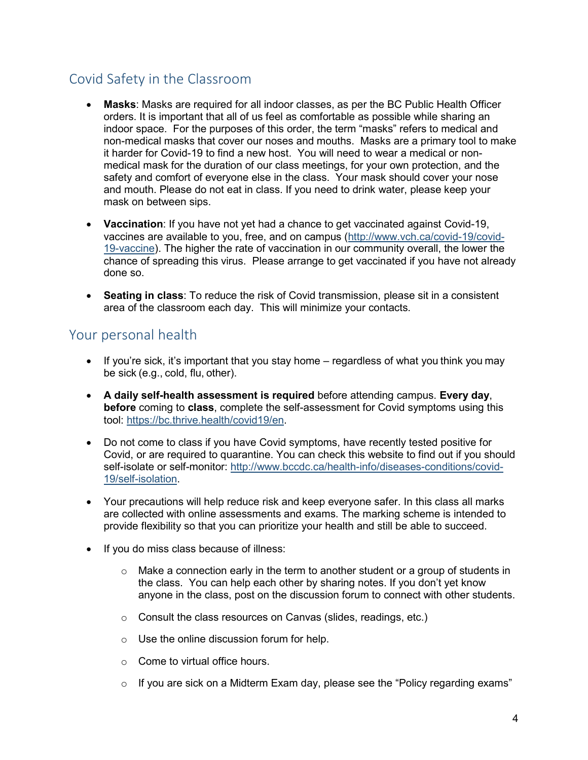# Covid Safety in the Classroom

- **Masks**: Masks are required for all indoor classes, as per the BC Public Health Officer orders. It is important that all of us feel as comfortable as possible while sharing an indoor space. For the purposes of this order, the term "masks" refers to medical and non-medical masks that cover our noses and mouths. Masks are a primary tool to make it harder for Covid-19 to find a new host. You will need to wear a medical or nonmedical mask for the duration of our class meetings, for your own protection, and the safety and comfort of everyone else in the class. Your mask should cover your nose and mouth. Please do not eat in class. If you need to drink water, please keep your mask on between sips.
- **Vaccination**: If you have not yet had a chance to get vaccinated against Covid-19, vaccines are available to you, free, and on campus [\(http://www.vch.ca/covid-19/covid-](http://www.vch.ca/covid-19/covid-19-vaccine)[19-vaccine\)](http://www.vch.ca/covid-19/covid-19-vaccine). The higher the rate of vaccination in our community overall, the lower the chance of spreading this virus. Please arrange to get vaccinated if you have not already done so.
- **Seating in class**: To reduce the risk of Covid transmission, please sit in a consistent area of the classroom each day. This will minimize your contacts.

## Your personal health

- If you're sick, it's important that you stay home regardless of what you think you may be sick (e.g., cold, flu, other).
- **A daily self-health assessment is required** before attending campus. **Every day**, **before** coming to **class**, complete the self-assessment for Covid symptoms using this tool: [https://bc.thrive.health/covid19/en.](https://bc.thrive.health/covid19/en)
- Do not come to class if you have Covid symptoms, have recently tested positive for Covid, or are required to quarantine. You can check this website to find out if you should self-isolate or self-monitor: [http://www.bccdc.ca/health-info/diseases-conditions/covid-](http://www.bccdc.ca/health-info/diseases-conditions/covid-19/self-isolation)[19/self-isolation.](http://www.bccdc.ca/health-info/diseases-conditions/covid-19/self-isolation)
- Your precautions will help reduce risk and keep everyone safer. In this class all marks are collected with online assessments and exams. The marking scheme is intended to provide flexibility so that you can prioritize your health and still be able to succeed.
- If you do miss class because of illness:
	- $\circ$  Make a connection early in the term to another student or a group of students in the class. You can help each other by sharing notes. If you don't yet know anyone in the class, post on the discussion forum to connect with other students.
	- o Consult the class resources on Canvas (slides, readings, etc.)
	- o Use the online discussion forum for help.
	- $\circ$  Come to virtual office hours.
	- $\circ$  If you are sick on a Midterm Exam day, please see the "Policy regarding exams"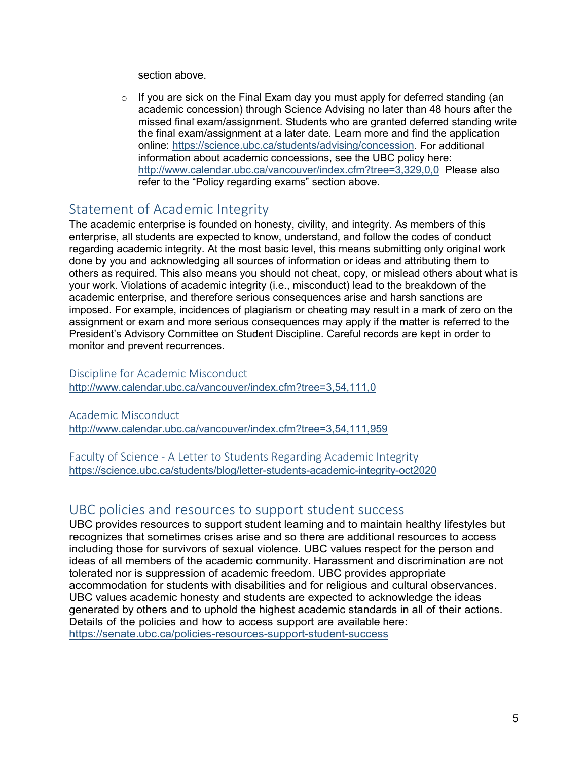section above.

 $\circ$  If you are sick on the Final Exam day you must apply for deferred standing (an academic concession) through Science Advising no later than 48 hours after the missed final exam/assignment. Students who are granted deferred standing write the final exam/assignment at a later date. Learn more and find the application online: [https://science.ubc.ca/students/advising/concession.](https://science.ubc.ca/students/advising/concession) For additional information about academic concessions, see the UBC policy here: <http://www.calendar.ubc.ca/vancouver/index.cfm?tree=3,329,0,0> Please also refer to the "Policy regarding exams" section above.

## Statement of Academic Integrity

The academic enterprise is founded on honesty, civility, and integrity. As members of this enterprise, all students are expected to know, understand, and follow the codes of conduct regarding academic integrity. At the most basic level, this means submitting only original work done by you and acknowledging all sources of information or ideas and attributing them to others as required. This also means you should not cheat, copy, or mislead others about what is your work. Violations of academic integrity (i.e., misconduct) lead to the breakdown of the academic enterprise, and therefore serious consequences arise and harsh sanctions are imposed. For example, incidences of plagiarism or cheating may result in a mark of zero on the assignment or exam and more serious consequences may apply if the matter is referred to the President's Advisory Committee on Student Discipline. Careful records are kept in order to monitor and prevent recurrences.

Discipline for Academic Misconduct <http://www.calendar.ubc.ca/vancouver/index.cfm?tree=3,54,111,0>

Academic Misconduct <http://www.calendar.ubc.ca/vancouver/index.cfm?tree=3,54,111,959>

Faculty of Science - A Letter to Students Regarding Academic Integrity <https://science.ubc.ca/students/blog/letter-students-academic-integrity-oct2020>

## UBC policies and resources to support student success

UBC provides resources to support student learning and to maintain healthy lifestyles but recognizes that sometimes crises arise and so there are additional resources to access including those for survivors of sexual violence. UBC values respect for the person and ideas of all members of the academic community. Harassment and discrimination are not tolerated nor is suppression of academic freedom. UBC provides appropriate accommodation for students with disabilities and for religious and cultural observances. UBC values academic honesty and students are expected to acknowledge the ideas generated by others and to uphold the highest academic standards in all of their actions. Details of the policies and how to access support are available here: <https://senate.ubc.ca/policies-resources-support-student-success>